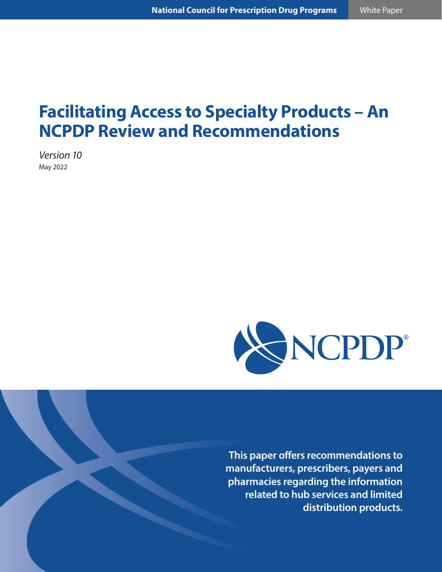# **Facilitating Access to Specialty Products – An NCPDP Review and Recommendations**

*Version 10* May 2022



**This paper offers recommendations to manufacturers, prescribers, payers and pharmacies regarding the information related to hub services and limited distribution products.**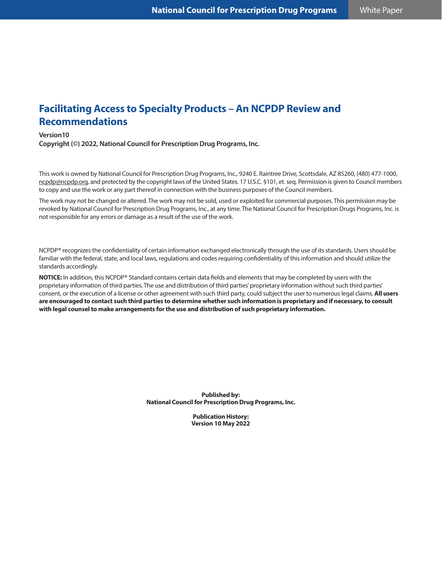# **Facilitating Access to Specialty Products – An NCPDP Review and Recommendations**

#### **Version10**

**Copyright (©) 2022, National Council for Prescription Drug Programs, Inc.**

This work is owned by National Council for Prescription Drug Programs, Inc., 9240 E. Raintree Drive, Scottsdale, AZ 85260, (480) 477-1000, ncpdp@ncpdp.org, and protected by the copyright laws of the United States. 17 U.S.C. §101, et. seq. Permission is given to Council members to copy and use the work or any part thereof in connection with the business purposes of the Council members.

The work may not be changed or altered. The work may not be sold, used or exploited for commercial purposes. This permission may be revoked by National Council for Prescription Drug Programs, Inc., at any time. The National Council for Prescription Drugs Programs, Inc. is not responsible for any errors or damage as a result of the use of the work.

NCPDP® recognizes the confidentiality of certain information exchanged electronically through the use of its standards. Users should be familiar with the federal, state, and local laws, regulations and codes requiring confidentiality of this information and should utilize the standards accordingly.

**NOTICE:** In addition, this NCPDP® Standard contains certain data fields and elements that may be completed by users with the proprietary information of third parties. The use and distribution of third parties' proprietary information without such third parties' consent, or the execution of a license or other agreement with such third party, could subject the user to numerous legal claims. **All users are encouraged to contact such third parties to determine whether such information is proprietary and if necessary, to consult with legal counsel to make arrangements for the use and distribution of such proprietary information.**

> **Published by: National Council for Prescription Drug Programs, Inc.**

> > **Publication History: Version 10 May 2022**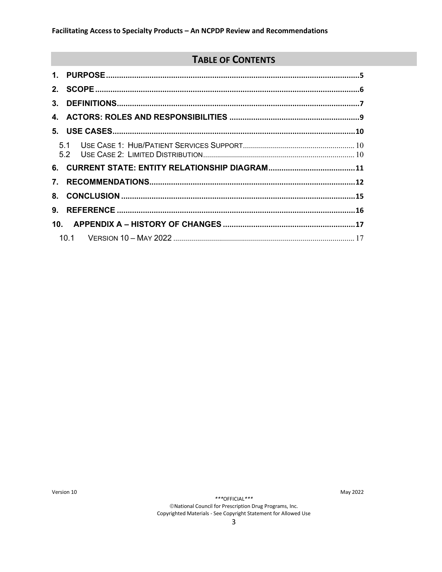# **TABLE OF CONTENTS**

| $2_{-}$         |  |
|-----------------|--|
| 3.              |  |
| 4.              |  |
|                 |  |
|                 |  |
| 6.              |  |
| 7.              |  |
| 8.              |  |
| 9.              |  |
| 10 <sub>1</sub> |  |
|                 |  |

Version 10

\*\*\*OFFICIAL\*\*\*

May 2022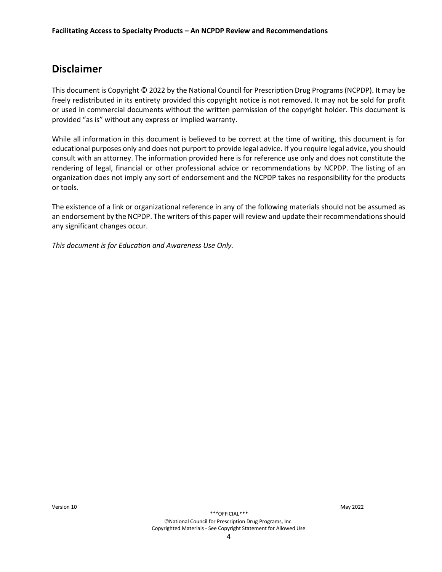### **Disclaimer**

This document is Copyright © 2022 by the National Council for Prescription Drug Programs (NCPDP). It may be freely redistributed in its entirety provided this copyright notice is not removed. It may not be sold for profit or used in commercial documents without the written permission of the copyright holder. This document is provided "as is" without any express or implied warranty.

While all information in this document is believed to be correct at the time of writing, this document is for educational purposes only and does not purport to provide legal advice. If you require legal advice, you should consult with an attorney. The information provided here is for reference use only and does not constitute the rendering of legal, financial or other professional advice or recommendations by NCPDP. The listing of an organization does not imply any sort of endorsement and the NCPDP takes no responsibility for the products or tools.

The existence of a link or organizational reference in any of the following materials should not be assumed as an endorsement by the NCPDP. The writers of this paper will review and update their recommendations should any significant changes occur.

*This document is for Education and Awareness Use Only.*

*\*\*\**OFFICIAL*\*\*\**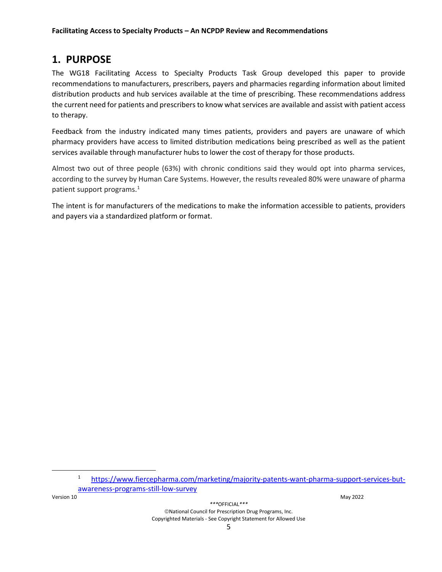#### <span id="page-4-0"></span>**1. PURPOSE**

The WG18 Facilitating Access to Specialty Products Task Group developed this paper to provide recommendations to manufacturers, prescribers, payers and pharmacies regarding information about limited distribution products and hub services available at the time of prescribing. These recommendations address the current need for patients and prescribers to know what services are available and assist with patient access to therapy.

Feedback from the industry indicated many times patients, providers and payers are unaware of which pharmacy providers have access to limited distribution medications being prescribed as well as the patient services available through manufacturer hubs to lower the cost of therapy for those products.

Almost two out of three people (63%) with chronic conditions said they would opt into pharma services, according to the survey by Human Care Systems. However, the results revealed 80% were unaware of pharma patient support programs.[1](#page-4-1)

The intent is for manufacturers of the medications to make the information accessible to patients, providers and payers via a standardized platform or format.

<span id="page-4-1"></span>Version 10 May 2022

*\*\*\**OFFICIAL*\*\*\**

<sup>1</sup> [https://www.fiercepharma.com/marketing/majority-patents-want-pharma-support-services-but](https://www.fiercepharma.com/marketing/majority-patents-want-pharma-support-services-but-awareness-programs-still-low-survey)[awareness-programs-still-low-survey](https://www.fiercepharma.com/marketing/majority-patents-want-pharma-support-services-but-awareness-programs-still-low-survey)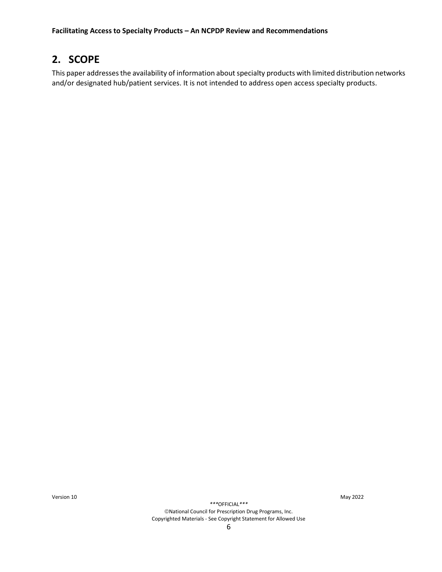# <span id="page-5-0"></span>**2. SCOPE**

This paper addressesthe availability of information about specialty products with limited distribution networks and/or designated hub/patient services. It is not intended to address open access specialty products.

Version 10 May 2022

*\*\*\**OFFICIAL*\*\*\**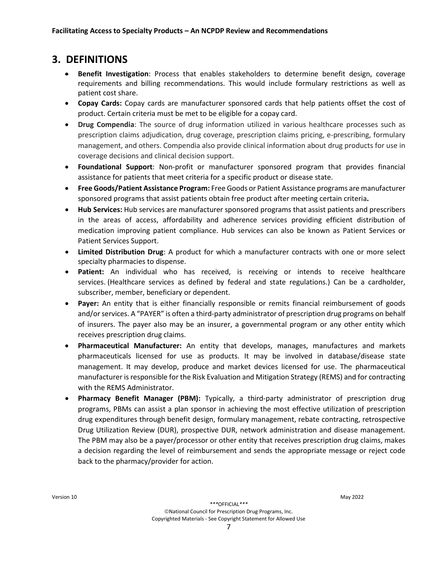### <span id="page-6-0"></span>**3. DEFINITIONS**

- **Benefit Investigation**: Process that enables stakeholders to determine benefit design, coverage requirements and billing recommendations. This would include formulary restrictions as well as patient cost share.
- **Copay Cards:** Copay cards are manufacturer sponsored cards that help patients offset the cost of product. Certain criteria must be met to be eligible for a copay card.
- **Drug Compendia**: The source of drug information utilized in various healthcare processes such as prescription claims adjudication, drug coverage, prescription claims pricing, e-prescribing, formulary management, and others. Compendia also provide clinical information about drug products for use in coverage decisions and clinical decision support.
- **Foundational Support**: Non-profit or manufacturer sponsored program that provides financial assistance for patients that meet criteria for a specific product or disease state.
- **Free Goods/Patient Assistance Program:** Free Goods or Patient Assistance programs are manufacturer sponsored programs that assist patients obtain free product after meeting certain criteria**.**
- **Hub Services:** Hub services are manufacturer sponsored programs that assist patients and prescribers in the areas of access, affordability and adherence services providing efficient distribution of medication improving patient compliance. Hub services can also be known as Patient Services or Patient Services Support.
- **Limited Distribution Drug**: A product for which a manufacturer contracts with one or more select specialty pharmacies to dispense.
- **Patient:** An individual who has received, is receiving or intends to receive healthcare services. (Healthcare services as defined by federal and state regulations.) Can be a cardholder, subscriber, member, beneficiary or dependent.
- **Payer:** An entity that is either financially responsible or remits financial reimbursement of goods and/or services. A "PAYER" is often a third-party administrator of prescription drug programs on behalf of insurers. The payer also may be an insurer, a governmental program or any other entity which receives prescription drug claims.
- **Pharmaceutical Manufacturer:** An entity that develops, manages, manufactures and markets pharmaceuticals licensed for use as products. It may be involved in database/disease state management. It may develop, produce and market devices licensed for use. The pharmaceutical manufacturer is responsible for the Risk Evaluation and Mitigation Strategy (REMS) and for contracting with the REMS Administrator.
- **Pharmacy Benefit Manager (PBM):** Typically, a third-party administrator of prescription drug programs, PBMs can assist a plan sponsor in achieving the most effective utilization of prescription drug expenditures through benefit design, formulary management, rebate contracting, retrospective Drug Utilization Review (DUR), prospective DUR, network administration and disease management. The PBM may also be a payer/processor or other entity that receives prescription drug claims, makes a decision regarding the level of reimbursement and sends the appropriate message or reject code back to the pharmacy/provider for action.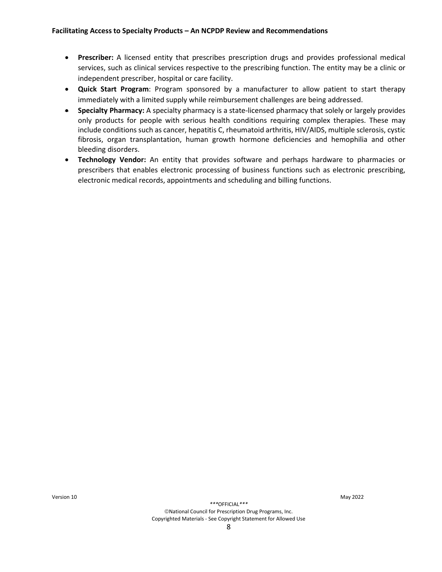- **Prescriber:** A licensed entity that prescribes prescription drugs and provides professional medical services, such as clinical services respective to the prescribing function. The entity may be a clinic or independent prescriber, hospital or care facility.
- **Quick Start Program**: Program sponsored by a manufacturer to allow patient to start therapy immediately with a limited supply while reimbursement challenges are being addressed.
- **Specialty Pharmacy:** A specialty pharmacy is a state-licensed pharmacy that solely or largely provides only products for people with serious health conditions requiring complex therapies. These may include conditions such as cancer, hepatitis C, rheumatoid arthritis, HIV/AIDS, multiple sclerosis, cystic fibrosis, organ transplantation, human growth hormone deficiencies and hemophilia and other bleeding disorders.
- **Technology Vendor:** An entity that provides software and perhaps hardware to pharmacies or prescribers that enables electronic processing of business functions such as electronic prescribing, electronic medical records, appointments and scheduling and billing functions.

Version 10 May 2022

*\*\*\**OFFICIAL*\*\*\**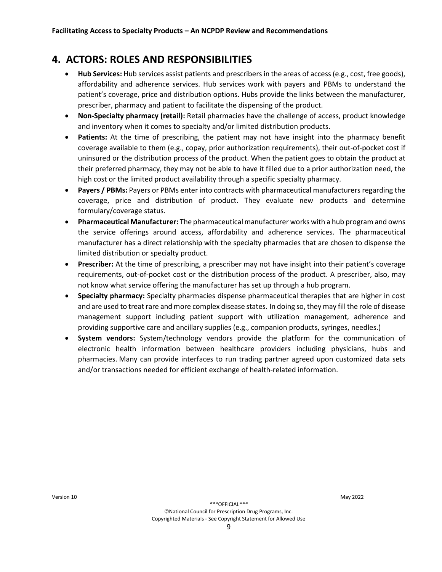# <span id="page-8-0"></span>**4. ACTORS: ROLES AND RESPONSIBILITIES**

- **Hub Services:** Hub services assist patients and prescribers in the areas of access (e.g., cost, free goods), affordability and adherence services. Hub services work with payers and PBMs to understand the patient's coverage, price and distribution options. Hubs provide the links between the manufacturer, prescriber, pharmacy and patient to facilitate the dispensing of the product.
- **Non-Specialty pharmacy (retail):** Retail pharmacies have the challenge of access, product knowledge and inventory when it comes to specialty and/or limited distribution products.
- **Patients:** At the time of prescribing, the patient may not have insight into the pharmacy benefit coverage available to them (e.g., copay, prior authorization requirements), their out-of-pocket cost if uninsured or the distribution process of the product. When the patient goes to obtain the product at their preferred pharmacy, they may not be able to have it filled due to a prior authorization need, the high cost or the limited product availability through a specific specialty pharmacy.
- **Payers / PBMs:** Payers or PBMs enter into contracts with pharmaceutical manufacturers regarding the coverage, price and distribution of product. They evaluate new products and determine formulary/coverage status.
- **Pharmaceutical Manufacturer:** The pharmaceutical manufacturer works with a hub program and owns the service offerings around access, affordability and adherence services. The pharmaceutical manufacturer has a direct relationship with the specialty pharmacies that are chosen to dispense the limited distribution or specialty product.
- **Prescriber:** At the time of prescribing, a prescriber may not have insight into their patient's coverage requirements, out-of-pocket cost or the distribution process of the product. A prescriber, also, may not know what service offering the manufacturer has set up through a hub program.
- **Specialty pharmacy:** Specialty pharmacies dispense pharmaceutical therapies that are higher in cost and are used to treat rare and more complex disease states. In doing so, they may fill the role of disease management support including patient support with utilization management, adherence and providing supportive care and ancillary supplies (e.g., companion products, syringes, needles.)
- **System vendors:** System/technology vendors provide the platform for the communication of electronic health information between healthcare providers including physicians, hubs and pharmacies. Many can provide interfaces to run trading partner agreed upon customized data sets and/or transactions needed for efficient exchange of health-related information.

Version 10 May 2022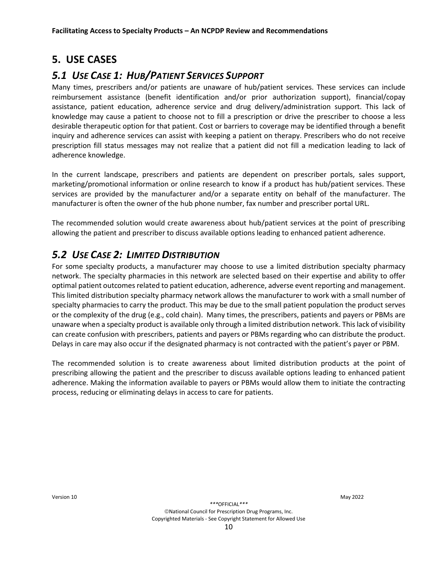# <span id="page-9-0"></span>**5. USE CASES**

#### <span id="page-9-1"></span>*5.1 USE CASE 1: HUB/PATIENT SERVICES SUPPORT*

Many times, prescribers and/or patients are unaware of hub/patient services. These services can include reimbursement assistance (benefit identification and/or prior authorization support), financial/copay assistance, patient education, adherence service and drug delivery/administration support. This lack of knowledge may cause a patient to choose not to fill a prescription or drive the prescriber to choose a less desirable therapeutic option for that patient. Cost or barriers to coverage may be identified through a benefit inquiry and adherence services can assist with keeping a patient on therapy. Prescribers who do not receive prescription fill status messages may not realize that a patient did not fill a medication leading to lack of adherence knowledge.

In the current landscape, prescribers and patients are dependent on prescriber portals, sales support, marketing/promotional information or online research to know if a product has hub/patient services. These services are provided by the manufacturer and/or a separate entity on behalf of the manufacturer. The manufacturer is often the owner of the hub phone number, fax number and prescriber portal URL.

The recommended solution would create awareness about hub/patient services at the point of prescribing allowing the patient and prescriber to discuss available options leading to enhanced patient adherence.

#### <span id="page-9-2"></span>*5.2 USE CASE 2: LIMITED DISTRIBUTION*

For some specialty products, a manufacturer may choose to use a limited distribution specialty pharmacy network. The specialty pharmacies in this network are selected based on their expertise and ability to offer optimal patient outcomes related to patient education, adherence, adverse event reporting and management. This limited distribution specialty pharmacy network allows the manufacturer to work with a small number of specialty pharmacies to carry the product. This may be due to the small patient population the product serves or the complexity of the drug (e.g., cold chain). Many times, the prescribers, patients and payers or PBMs are unaware when a specialty product is available only through a limited distribution network. This lack of visibility can create confusion with prescribers, patients and payers or PBMs regarding who can distribute the product. Delays in care may also occur if the designated pharmacy is not contracted with the patient's payer or PBM.

The recommended solution is to create awareness about limited distribution products at the point of prescribing allowing the patient and the prescriber to discuss available options leading to enhanced patient adherence. Making the information available to payers or PBMs would allow them to initiate the contracting process, reducing or eliminating delays in access to care for patients.

Version 10 May 2022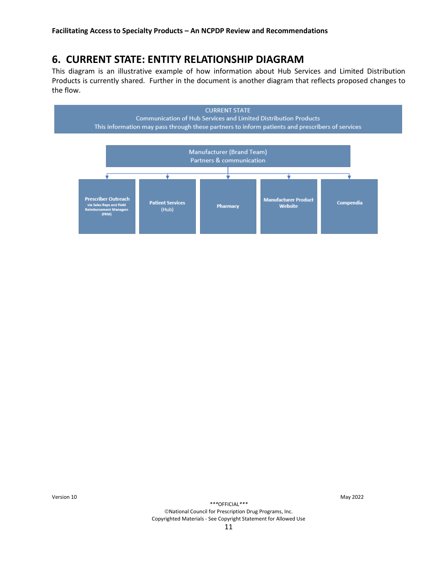# <span id="page-10-0"></span>**6. CURRENT STATE: ENTITY RELATIONSHIP DIAGRAM**

This diagram is an illustrative example of how information about Hub Services and Limited Distribution Products is currently shared. Further in the document is another diagram that reflects proposed changes to the flow.



Version 10 May 2022

*\*\*\**OFFICIAL*\*\*\**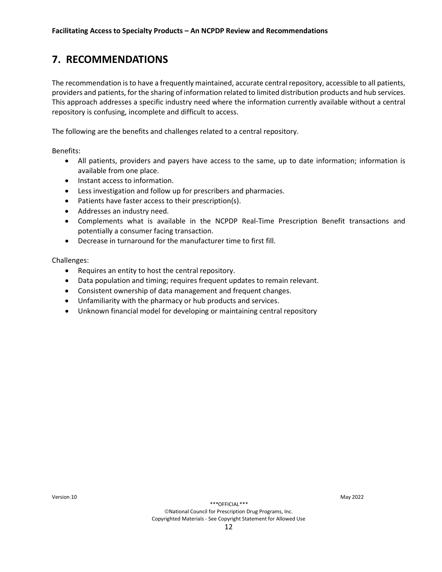# <span id="page-11-0"></span>**7. RECOMMENDATIONS**

The recommendation isto have a frequently maintained, accurate central repository, accessible to all patients, providers and patients, for the sharing of information related to limited distribution products and hub services. This approach addresses a specific industry need where the information currently available without a central repository is confusing, incomplete and difficult to access.

The following are the benefits and challenges related to a central repository.

Benefits:

- All patients, providers and payers have access to the same, up to date information; information is available from one place.
- Instant access to information.
- Less investigation and follow up for prescribers and pharmacies.
- Patients have faster access to their prescription(s).
- Addresses an industry need.
- Complements what is available in the NCPDP Real-Time Prescription Benefit transactions and potentially a consumer facing transaction.
- Decrease in turnaround for the manufacturer time to first fill.

Challenges:

- Requires an entity to host the central repository.
- Data population and timing; requires frequent updates to remain relevant.
- Consistent ownership of data management and frequent changes.
- Unfamiliarity with the pharmacy or hub products and services.
- Unknown financial model for developing or maintaining central repository

*\*\*\**OFFICIAL*\*\*\**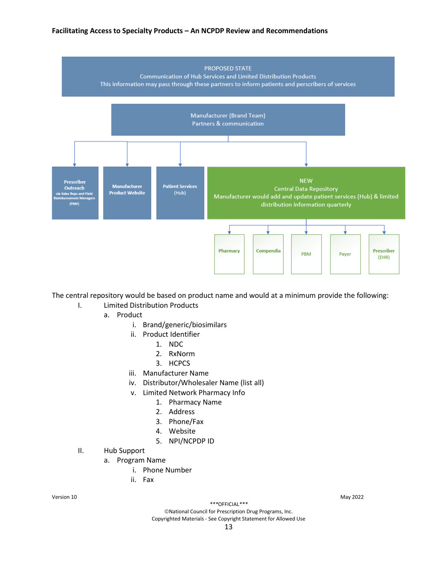#### **Facilitating Access to Specialty Products – An NCPDP Review and Recommendations**



The central repository would be based on product name and would at a minimum provide the following:

- I. Limited Distribution Products
	- a. Product
		- i. Brand/generic/biosimilars
		- ii. Product Identifier
			- 1. NDC
			- 2. RxNorm
			- 3. HCPCS
		- iii. Manufacturer Name
		- iv. Distributor/Wholesaler Name (list all)
		- v. Limited Network Pharmacy Info
			- 1. Pharmacy Name
			- 2. Address
			- 3. Phone/Fax
			- 4. Website
			- 5. NPI/NCPDP ID
- II. Hub Support
	- a. Program Name
		- i. Phone Number
		- ii. Fax

Version 10 May 2022

*\*\*\**OFFICIAL*\*\*\**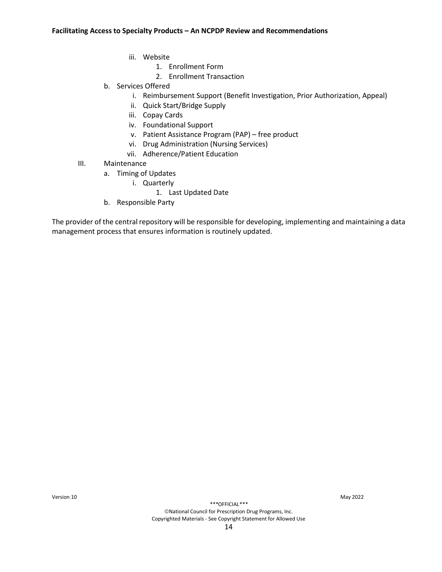- iii. Website
	- 1. Enrollment Form
	- 2. Enrollment Transaction
- b. Services Offered
	- i. Reimbursement Support (Benefit Investigation, Prior Authorization, Appeal)
	- ii. Quick Start/Bridge Supply
	- iii. Copay Cards
	- iv. Foundational Support
	- v. Patient Assistance Program (PAP) free product
	- vi. Drug Administration (Nursing Services)
	- vii. Adherence/Patient Education
- III. Maintenance
	- a. Timing of Updates
		- i. Quarterly
			- 1. Last Updated Date
	- b. Responsible Party

The provider of the central repository will be responsible for developing, implementing and maintaining a data management process that ensures information is routinely updated.

Version 10 May 2022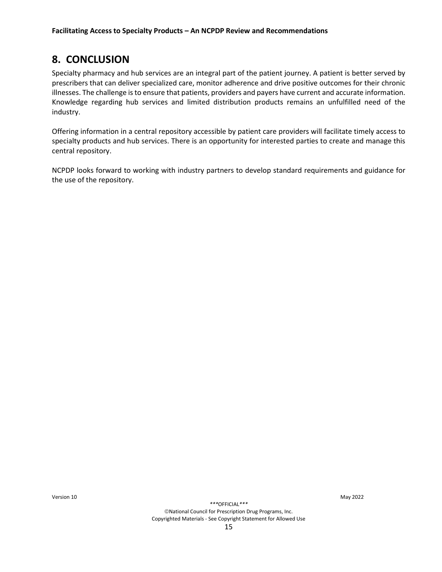# <span id="page-14-0"></span>**8. CONCLUSION**

Specialty pharmacy and hub services are an integral part of the patient journey. A patient is better served by prescribers that can deliver specialized care, monitor adherence and drive positive outcomes for their chronic illnesses. The challenge is to ensure that patients, providers and payers have current and accurate information. Knowledge regarding hub services and limited distribution products remains an unfulfilled need of the industry.

Offering information in a central repository accessible by patient care providers will facilitate timely access to specialty products and hub services. There is an opportunity for interested parties to create and manage this central repository.

NCPDP looks forward to working with industry partners to develop standard requirements and guidance for the use of the repository.

Version 10 May 2022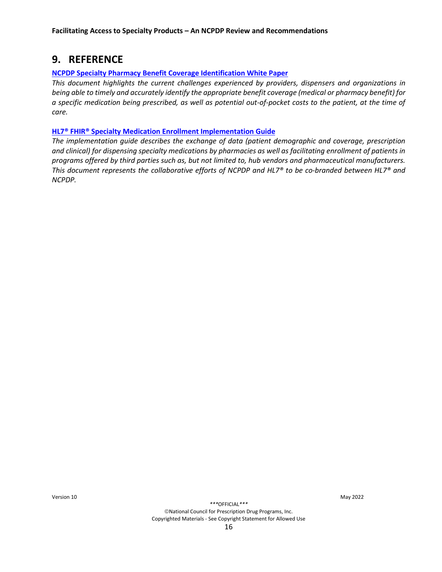### <span id="page-15-0"></span>**9. REFERENCE**

#### **[NCPDP Specialty Pharmacy Benefit Coverage Identification White](https://www.ncpdp.org/NCPDP/media/pdf/WhitePaper/NCPDP-Specialty-Pharmacy-Benefit-Coverage-Identification-White-Paper.pdf?ext=.pdf) Paper**

*This document highlights the current challenges experienced by providers, dispensers and organizations in being able to timely and accurately identify the appropriate benefit coverage (medical or pharmacy benefit) for a specific medication being prescribed, as well as potential out-of-pocket costs to the patient, at the time of care.*

#### **[HL7® FHIR® Specialty Medication Enrollment Implementation Guide](http://www.hl7.org/implement/standards/product_brief.cfm?product_id=568)**

*The implementation guide describes the exchange of data (patient demographic and coverage, prescription and clinical) for dispensing specialty medications by pharmacies as well as facilitating enrollment of patients in programs offered by third parties such as, but not limited to, hub vendors and pharmaceutical manufacturers. This document represents the collaborative efforts of NCPDP and HL7® to be co-branded between HL7® and NCPDP.*

Version 10 May 2022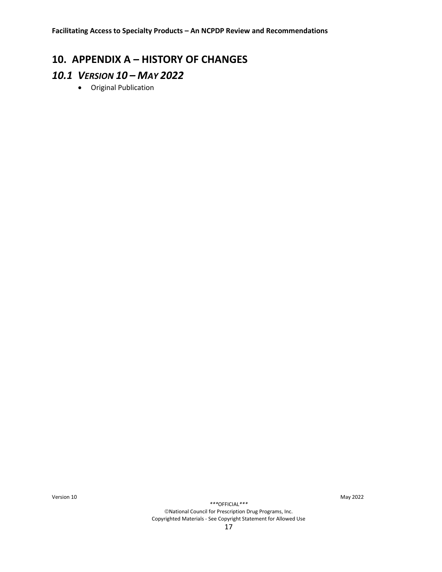# <span id="page-16-0"></span>**10. APPENDIX A – HISTORY OF CHANGES**

### <span id="page-16-1"></span>*10.1 VERSION 10 – MAY 2022*

• Original Publication

Version 10 May 2022